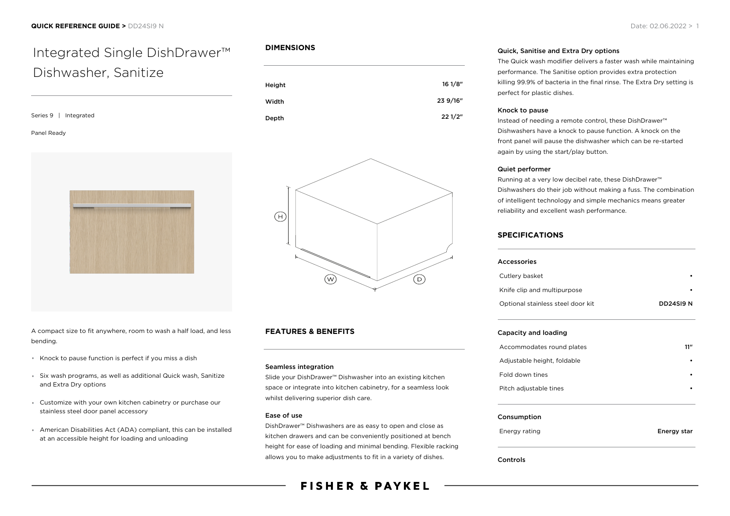# Integrated Single DishDrawer™ Dishwasher, Sanitize

Series 9 | Integrated

#### Panel Ready



A compact size to fit anywhere, room to wash a half load, and less bending.

- \* Knock to pause function is perfect if you miss a dish
- Six wash programs, as well as additional Quick wash, Sanitize and Extra Dry options
- Customize with your own kitchen cabinetry or purchase our stainless steel door panel accessory
- American Disabilities Act (ADA) compliant, this can be installed at an accessible height for loading and unloading

# **DIMENSIONS**





# **FEATURES & BENEFITS**

#### Seamless integration

Slide your DishDrawer™ Dishwasher into an existing kitchen space or integrate into kitchen cabinetry, for a seamless look whilst delivering superior dish care.

### Ease of use

DishDrawer™ Dishwashers are as easy to open and close as kitchen drawers and can be conveniently positioned at bench height for ease of loading and minimal bending. Flexible racking allows you to make adjustments to fit in a variety of dishes.

# **FISHER & PAYKEL**

#### Quick, Sanitise and Extra Dry options

The Quick wash modifier delivers a faster wash while maintaining performance. The Sanitise option provides extra protection killing 99.9% of bacteria in the final rinse. The Extra Dry setting is perfect for plastic dishes.

#### Knock to pause

Instead of needing a remote control, these DishDrawer™ Dishwashers have a knock to pause function. A knock on the front panel will pause the dishwasher which can be re-started again by using the start/play button.

#### Quiet performer

Running at a very low decibel rate, these DishDrawer™ Dishwashers do their job without making a fuss. The combination of intelligent technology and simple mechanics means greater reliability and excellent wash performance.

# **SPECIFICATIONS**

| Accessories                       |             |
|-----------------------------------|-------------|
| Cutlery basket                    |             |
| Knife clip and multipurpose       |             |
| Optional stainless steel door kit | DD24SI9 N   |
| Capacity and loading              |             |
| Accommodates round plates         | 11"         |
| Adjustable height, foldable       |             |
| Fold down tines                   |             |
| Pitch adjustable tines            |             |
| Consumption                       |             |
| Energy rating                     | Energy star |

Controls